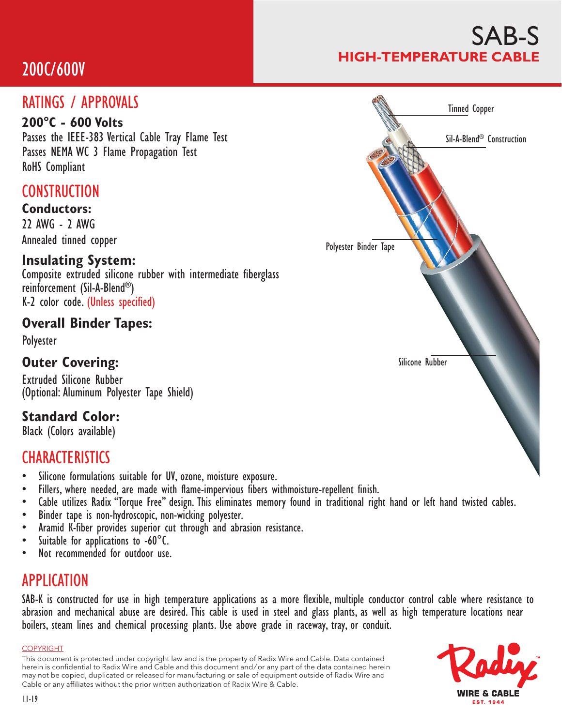## 200C/600V

### RATINGS / APPROVALS

#### **200°C - 600 Volts**

Passes the IEEE-383 Vertical Cable Tray Flame Test Passes NEMA WC 3 Flame Propagation Test RoHS Compliant

## **CONSTRUCTION**

**Conductors:** 22 AWG - 2 AWG Annealed tinned copper

#### **Insulating System:**

Composite extruded silicone rubber with intermediate fiberglass reinforcement (Sil-A-Blend®) K-2 color code. (Unless specified)

#### **Overall Binder Tapes:**

Polyester

#### **Outer Covering:**

Extruded Silicone Rubber (Optional: Aluminum Polyester Tape Shield)

### **Standard Color:**

Black (Colors available)

## **CHARACTERISTICS**

- 
- 
- Silicone formulations suitable for UV, ozone, moisture exposure.<br>• Fillers, where needed, are made with flame-impervious fibers withmoisture-repellent finish.<br>• Cable utilizes Radix "Torque Free" design. This eliminates
- 
- 
- 
- 

### APPLICATION

SAB-K is constructed for use in high temperature applications as a more flexible, multiple conductor control cable where resistance to abrasion and mechanical abuse are desired. This cable is used in steel and glass plants, as well as high temperature locations near boilers, steam lines and chemical processing plants. Use above grade in raceway, tray, or conduit.

#### COPYRIGHT

This document is protected under copyright law and is the property of Radix Wire and Cable. Data contained herein is confidential to Radix Wire and Cable and this document and / or any part of the data contained herein may not be copied, duplicated or released for manufacturing or sale of equipment outside of Radix Wire and Cable or any affiliates without the prior written authorization of Radix Wire & Cable.



Silicone Rubber

# **WIRE & CABLE EST. 1944**

## SAB-S **HIGH-TEMPERATURE CABLE**

Tinned Copper

Sil-A-Blend® Construction